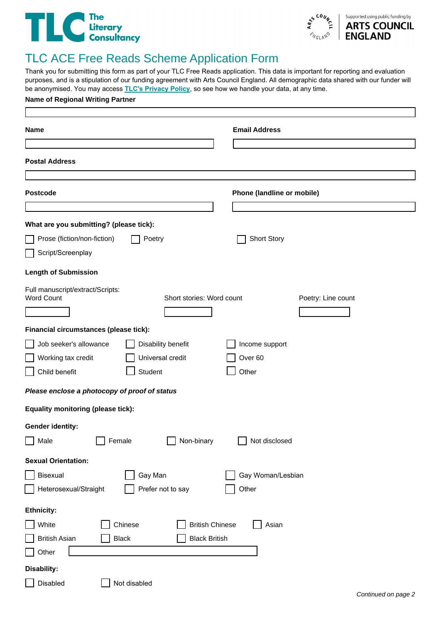## The Literary<br>Chicagonsultancy



## TLC ACE Free Reads Scheme Application Form

Thank you for submitting this form as part of your TLC Free Reads application. This data is important for reporting and evaluation purposes, and is a stipulation of our funding agreement with Arts Council England. All demographic data shared with our funder will be anonymised. You may access **[TLC's Privacy Policy](https://literaryconsultancy.co.uk/privacy-policy/)**, so see how we handle your data, at any time.

| <b>Name of Regional Writing Partner</b>                      |                           |                            |                    |  |  |
|--------------------------------------------------------------|---------------------------|----------------------------|--------------------|--|--|
| Name                                                         |                           | <b>Email Address</b>       |                    |  |  |
|                                                              |                           |                            |                    |  |  |
| <b>Postal Address</b>                                        |                           |                            |                    |  |  |
|                                                              |                           |                            |                    |  |  |
| <b>Postcode</b>                                              |                           | Phone (landline or mobile) |                    |  |  |
|                                                              |                           |                            |                    |  |  |
| What are you submitting? (please tick):                      |                           |                            |                    |  |  |
| Prose (fiction/non-fiction)                                  | Poetry                    | <b>Short Story</b>         |                    |  |  |
| Script/Screenplay                                            |                           |                            |                    |  |  |
| <b>Length of Submission</b>                                  |                           |                            |                    |  |  |
| Full manuscript/extract/Scripts:<br><b>Word Count</b>        | Short stories: Word count |                            | Poetry: Line count |  |  |
|                                                              |                           |                            |                    |  |  |
| Financial circumstances (please tick):                       |                           |                            |                    |  |  |
| Job seeker's allowance                                       | Disability benefit        | Income support             |                    |  |  |
| Working tax credit                                           | Universal credit          | Over <sub>60</sub>         |                    |  |  |
| Child benefit                                                | Student                   | Other                      |                    |  |  |
| Please enclose a photocopy of proof of status                |                           |                            |                    |  |  |
| <b>Equality monitoring (please tick):</b>                    |                           |                            |                    |  |  |
| <b>Gender identity:</b>                                      |                           |                            |                    |  |  |
| Male<br>Female<br>$\Box$                                     | Non-binary                | Not disclosed              |                    |  |  |
| <b>Sexual Orientation:</b>                                   |                           |                            |                    |  |  |
| Bisexual                                                     | Gay Man                   | Gay Woman/Lesbian          |                    |  |  |
| Heterosexual/Straight                                        | Prefer not to say         | Other                      |                    |  |  |
| <b>Ethnicity:</b>                                            |                           |                            |                    |  |  |
| White<br>Chinese                                             | <b>British Chinese</b>    | Asian                      |                    |  |  |
| <b>British Asian</b><br><b>Black</b><br><b>Black British</b> |                           |                            |                    |  |  |
| Other                                                        |                           |                            |                    |  |  |
| Disability:                                                  |                           |                            |                    |  |  |
| Disabled<br>Not disabled                                     |                           |                            |                    |  |  |